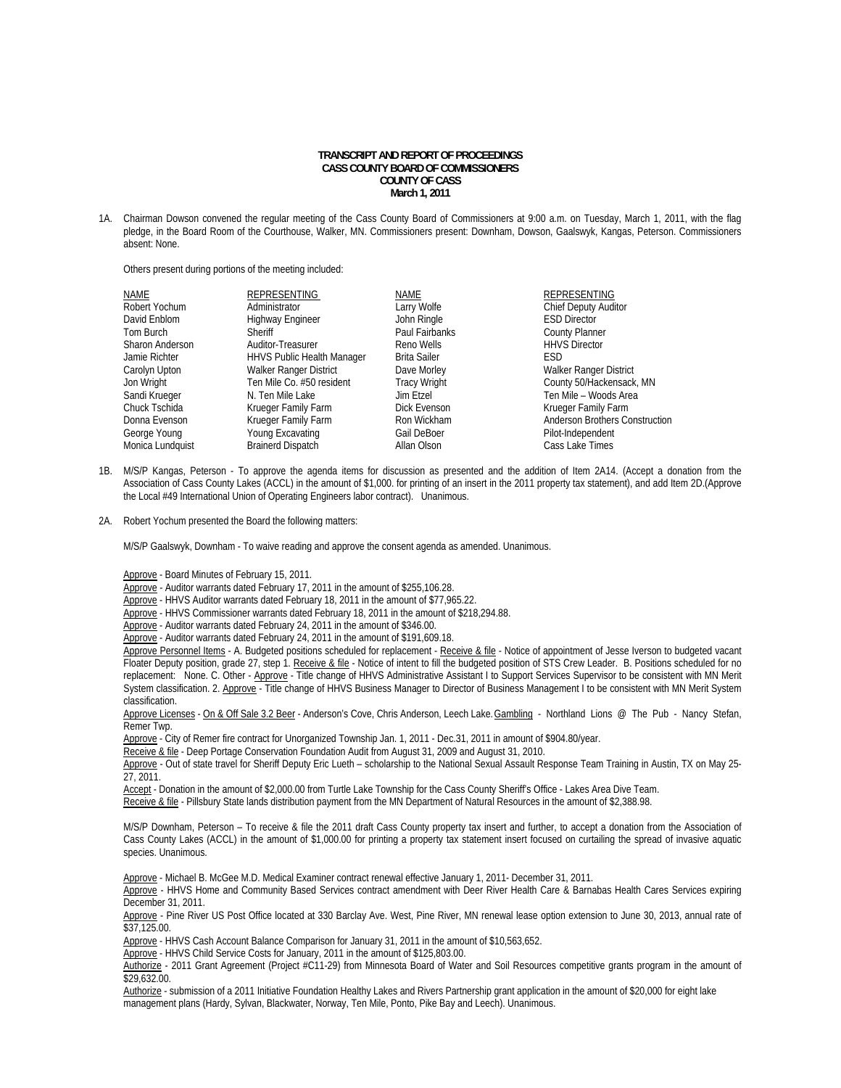## **TRANSCRIPT AND REPORT OF PROCEEDINGS CASS COUNTY BOARD OF COMMISSIONERS COUNTY OF CASS March 1, 2011**

1A. Chairman Dowson convened the regular meeting of the Cass County Board of Commissioners at 9:00 a.m. on Tuesday, March 1, 2011, with the flag pledge, in the Board Room of the Courthouse, Walker, MN. Commissioners present: Downham, Dowson, Gaalswyk, Kangas, Peterson. Commissioners absent: None.

Others present during portions of the meeting included:

| <b>NAME</b>      | REPRESENTING                      | <b>NAME</b>         | <b>REPRESENTING</b>            |
|------------------|-----------------------------------|---------------------|--------------------------------|
| Robert Yochum    | Administrator                     | Larry Wolfe         | <b>Chief Deputy Auditor</b>    |
| David Enblom     | Highway Engineer                  | John Ringle         | <b>ESD Director</b>            |
| Tom Burch        | Sheriff                           | Paul Fairbanks      | <b>County Planner</b>          |
| Sharon Anderson  | Auditor-Treasurer                 | Reno Wells          | <b>HHVS Director</b>           |
| Jamie Richter    | <b>HHVS Public Health Manager</b> | <b>Brita Sailer</b> | ESD                            |
| Carolyn Upton    | Walker Ranger District            | Dave Morley         | <b>Walker Ranger District</b>  |
| Jon Wright       | Ten Mile Co. #50 resident         | <b>Tracy Wright</b> | County 50/Hackensack, MN       |
| Sandi Krueger    | N. Ten Mile Lake                  | Jim Etzel           | Ten Mile - Woods Area          |
| Chuck Tschida    | Krueger Family Farm               | Dick Evenson        | Krueger Family Farm            |
| Donna Evenson    | Krueger Family Farm               | Ron Wickham         | Anderson Brothers Construction |
| George Young     | Young Excavating                  | Gail DeBoer         | Pilot-Independent              |
| Monica Lundquist | <b>Brainerd Dispatch</b>          | Allan Olson         | Cass Lake Times                |

- 1B. M/S/P Kangas, Peterson To approve the agenda items for discussion as presented and the addition of Item 2A14. (Accept a donation from the Association of Cass County Lakes (ACCL) in the amount of \$1,000. for printing of an insert in the 2011 property tax statement), and add Item 2D.(Approve the Local #49 International Union of Operating Engineers labor contract). Unanimous.
- 2A. Robert Yochum presented the Board the following matters:

M/S/P Gaalswyk, Downham - To waive reading and approve the consent agenda as amended. Unanimous.

Approve - Board Minutes of February 15, 2011.

Approve - Auditor warrants dated February 17, 2011 in the amount of \$255,106.28.

Approve - HHVS Auditor warrants dated February 18, 2011 in the amount of \$77,965.22.

Approve - HHVS Commissioner warrants dated February 18, 2011 in the amount of \$218,294.88.

Approve - Auditor warrants dated February 24, 2011 in the amount of \$346.00.

Approve - Auditor warrants dated February 24, 2011 in the amount of \$191,609.18.

Approve Personnel Items - A. Budgeted positions scheduled for replacement - Receive & file - Notice of appointment of Jesse Iverson to budgeted vacant Floater Deputy position, grade 27, step 1. Receive & file - Notice of intent to fill the budgeted position of STS Crew Leader. B. Positions scheduled for no replacement: None. C. Other - Approve - Title change of HHVS Administrative Assistant I to Support Services Supervisor to be consistent with MN Merit System classification. 2. Approve - Title change of HHVS Business Manager to Director of Business Management I to be consistent with MN Merit System classification.

 Approve Licenses - On & Off Sale 3.2 Beer - Anderson's Cove, Chris Anderson, Leech Lake. Gambling - Northland Lions @ The Pub - Nancy Stefan, Remer Twp.

Approve - City of Remer fire contract for Unorganized Township Jan. 1, 2011 - Dec.31, 2011 in amount of \$904.80/year.

Receive & file - Deep Portage Conservation Foundation Audit from August 31, 2009 and August 31, 2010.

Approve - Out of state travel for Sheriff Deputy Eric Lueth – scholarship to the National Sexual Assault Response Team Training in Austin, TX on May 25-27, 2011.

Accept - Donation in the amount of \$2,000.00 from Turtle Lake Township for the Cass County Sheriff's Office - Lakes Area Dive Team.

Receive & file - Pillsbury State lands distribution payment from the MN Department of Natural Resources in the amount of \$2,388.98.

M/S/P Downham, Peterson – To receive & file the 2011 draft Cass County property tax insert and further, to accept a donation from the Association of Cass County Lakes (ACCL) in the amount of \$1,000.00 for printing a property tax statement insert focused on curtailing the spread of invasive aquatic species. Unanimous.

Approve - Michael B. McGee M.D. Medical Examiner contract renewal effective January 1, 2011- December 31, 2011.

Approve - HHVS Home and Community Based Services contract amendment with Deer River Health Care & Barnabas Health Cares Services expiring December 31, 2011.

Approve - Pine River US Post Office located at 330 Barclay Ave. West, Pine River, MN renewal lease option extension to June 30, 2013, annual rate of \$37,125.00

Approve - HHVS Cash Account Balance Comparison for January 31, 2011 in the amount of \$10,563,652.

Approve - HHVS Child Service Costs for January, 2011 in the amount of \$125,803.00.

Authorize - 2011 Grant Agreement (Project #C11-29) from Minnesota Board of Water and Soil Resources competitive grants program in the amount of \$29,632.00.

Authorize - submission of a 2011 Initiative Foundation Healthy Lakes and Rivers Partnership grant application in the amount of \$20,000 for eight lake management plans (Hardy, Sylvan, Blackwater, Norway, Ten Mile, Ponto, Pike Bay and Leech). Unanimous.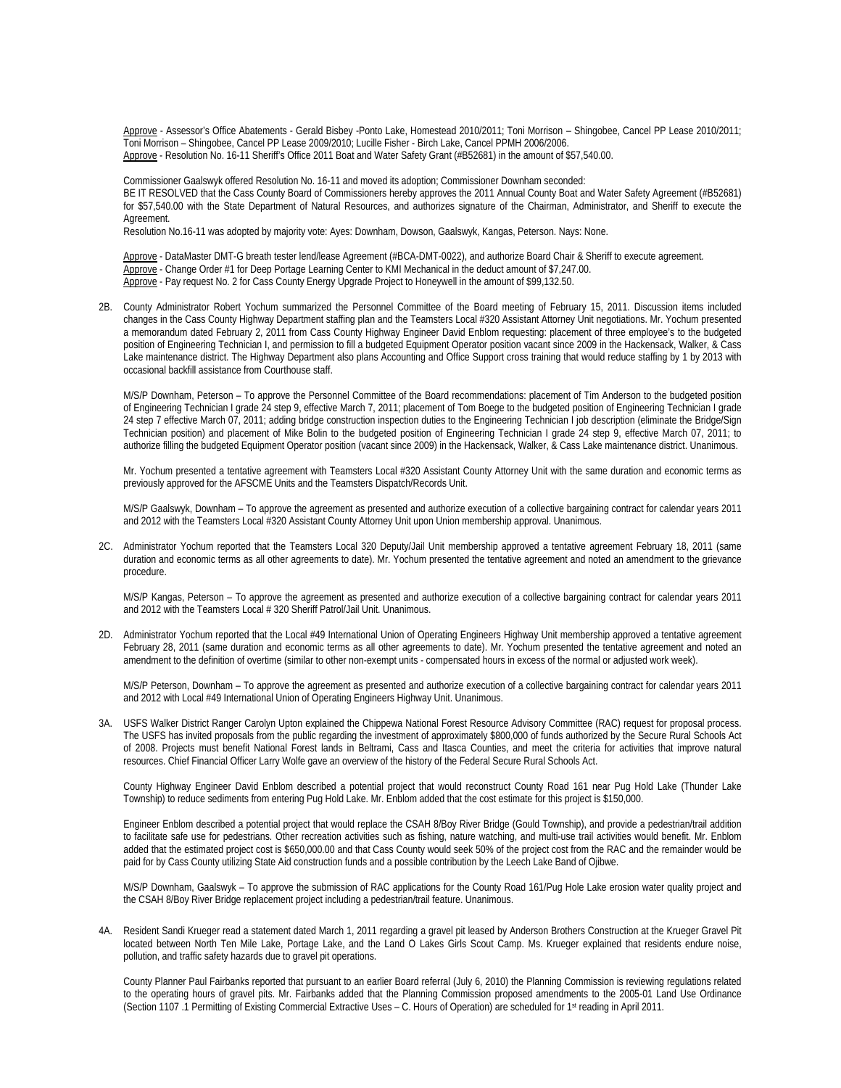Approve - Assessor's Office Abatements - Gerald Bisbey -Ponto Lake, Homestead 2010/2011; Toni Morrison – Shingobee, Cancel PP Lease 2010/2011; Toni Morrison – Shingobee, Cancel PP Lease 2009/2010; Lucille Fisher - Birch Lake, Cancel PPMH 2006/2006. Approve - Resolution No. 16-11 Sheriff's Office 2011 Boat and Water Safety Grant (#B52681) in the amount of \$57,540.00.

 Commissioner Gaalswyk offered Resolution No. 16-11 and moved its adoption; Commissioner Downham seconded: BE IT RESOLVED that the Cass County Board of Commissioners hereby approves the 2011 Annual County Boat and Water Safety Agreement (#B52681) for \$57,540.00 with the State Department of Natural Resources, and authorizes signature of the Chairman, Administrator, and Sheriff to execute the Agreement.

Resolution No.16-11 was adopted by majority vote: Ayes: Downham, Dowson, Gaalswyk, Kangas, Peterson. Nays: None.

Approve - DataMaster DMT-G breath tester lend/lease Agreement (#BCA-DMT-0022), and authorize Board Chair & Sheriff to execute agreement. Approve - Change Order #1 for Deep Portage Learning Center to KMI Mechanical in the deduct amount of \$7,247.00. Approve - Pay request No. 2 for Cass County Energy Upgrade Project to Honeywell in the amount of \$99,132.50.

2B. County Administrator Robert Yochum summarized the Personnel Committee of the Board meeting of February 15, 2011. Discussion items included changes in the Cass County Highway Department staffing plan and the Teamsters Local #320 Assistant Attorney Unit negotiations. Mr. Yochum presented a memorandum dated February 2, 2011 from Cass County Highway Engineer David Enblom requesting: placement of three employee's to the budgeted position of Engineering Technician I, and permission to fill a budgeted Equipment Operator position vacant since 2009 in the Hackensack, Walker, & Cass Lake maintenance district. The Highway Department also plans Accounting and Office Support cross training that would reduce staffing by 1 by 2013 with occasional backfill assistance from Courthouse staff.

M/S/P Downham, Peterson – To approve the Personnel Committee of the Board recommendations: placement of Tim Anderson to the budgeted position of Engineering Technician I grade 24 step 9, effective March 7, 2011; placement of Tom Boege to the budgeted position of Engineering Technician I grade 24 step 7 effective March 07, 2011; adding bridge construction inspection duties to the Engineering Technician I job description (eliminate the Bridge/Sign Technician position) and placement of Mike Bolin to the budgeted position of Engineering Technician I grade 24 step 9, effective March 07, 2011; to authorize filling the budgeted Equipment Operator position (vacant since 2009) in the Hackensack, Walker, & Cass Lake maintenance district. Unanimous.

 Mr. Yochum presented a tentative agreement with Teamsters Local #320 Assistant County Attorney Unit with the same duration and economic terms as previously approved for the AFSCME Units and the Teamsters Dispatch/Records Unit.

 M/S/P Gaalswyk, Downham – To approve the agreement as presented and authorize execution of a collective bargaining contract for calendar years 2011 and 2012 with the Teamsters Local #320 Assistant County Attorney Unit upon Union membership approval. Unanimous.

2C. Administrator Yochum reported that the Teamsters Local 320 Deputy/Jail Unit membership approved a tentative agreement February 18, 2011 (same duration and economic terms as all other agreements to date). Mr. Yochum presented the tentative agreement and noted an amendment to the grievance procedure.

 M/S/P Kangas, Peterson – To approve the agreement as presented and authorize execution of a collective bargaining contract for calendar years 2011 and 2012 with the Teamsters Local # 320 Sheriff Patrol/Jail Unit. Unanimous.

2D. Administrator Yochum reported that the Local #49 International Union of Operating Engineers Highway Unit membership approved a tentative agreement February 28, 2011 (same duration and economic terms as all other agreements to date). Mr. Yochum presented the tentative agreement and noted an amendment to the definition of overtime (similar to other non-exempt units - compensated hours in excess of the normal or adjusted work week).

 M/S/P Peterson, Downham – To approve the agreement as presented and authorize execution of a collective bargaining contract for calendar years 2011 and 2012 with Local #49 International Union of Operating Engineers Highway Unit. Unanimous.

3A. USFS Walker District Ranger Carolyn Upton explained the Chippewa National Forest Resource Advisory Committee (RAC) request for proposal process. The USFS has invited proposals from the public regarding the investment of approximately \$800,000 of funds authorized by the Secure Rural Schools Act of 2008. Projects must benefit National Forest lands in Beltrami, Cass and Itasca Counties, and meet the criteria for activities that improve natural resources. Chief Financial Officer Larry Wolfe gave an overview of the history of the Federal Secure Rural Schools Act.

County Highway Engineer David Enblom described a potential project that would reconstruct County Road 161 near Pug Hold Lake (Thunder Lake Township) to reduce sediments from entering Pug Hold Lake. Mr. Enblom added that the cost estimate for this project is \$150,000.

Engineer Enblom described a potential project that would replace the CSAH 8/Boy River Bridge (Gould Township), and provide a pedestrian/trail addition to facilitate safe use for pedestrians. Other recreation activities such as fishing, nature watching, and multi-use trail activities would benefit. Mr. Enblom added that the estimated project cost is \$650,000.00 and that Cass County would seek 50% of the project cost from the RAC and the remainder would be paid for by Cass County utilizing State Aid construction funds and a possible contribution by the Leech Lake Band of Ojibwe.

M/S/P Downham, Gaalswyk – To approve the submission of RAC applications for the County Road 161/Pug Hole Lake erosion water quality project and the CSAH 8/Boy River Bridge replacement project including a pedestrian/trail feature. Unanimous.

4A. Resident Sandi Krueger read a statement dated March 1, 2011 regarding a gravel pit leased by Anderson Brothers Construction at the Krueger Gravel Pit located between North Ten Mile Lake, Portage Lake, and the Land O Lakes Girls Scout Camp. Ms. Krueger explained that residents endure noise, pollution, and traffic safety hazards due to gravel pit operations.

County Planner Paul Fairbanks reported that pursuant to an earlier Board referral (July 6, 2010) the Planning Commission is reviewing regulations related to the operating hours of gravel pits. Mr. Fairbanks added that the Planning Commission proposed amendments to the 2005-01 Land Use Ordinance (Section 1107 .1 Permitting of Existing Commercial Extractive Uses – C. Hours of Operation) are scheduled for 1st reading in April 2011.